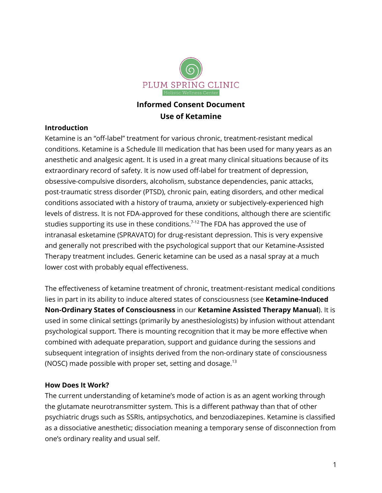

# **Informed Consent Document Use of Ketamine**

## **Introduction**

Ketamine is an "off-label" treatment for various chronic, treatment-resistant medical conditions. Ketamine is a Schedule III medication that has been used for many years as an anesthetic and analgesic agent. It is used in a great many clinical situations because of its extraordinary record of safety. It is now used off-label for treatment of depression, obsessive-compulsive disorders, alcoholism, substance dependencies, panic attacks, post-traumatic stress disorder (PTSD), chronic pain, eating disorders, and other medical conditions associated with a history of trauma, anxiety or subjectively-experienced high levels of distress. It is not FDA-approved for these conditions, although there are scientific studies supporting its use in these conditions. 7-12 The FDA has approved the use of intranasal esketamine (SPRAVATO) for drug-resistant depression. This is very expensive and generally not prescribed with the psychological support that our Ketamine-Assisted Therapy treatment includes. Generic ketamine can be used as a nasal spray at a much lower cost with probably equal effectiveness.

The effectiveness of ketamine treatment of chronic, treatment-resistant medical conditions lies in part in its ability to induce altered states of consciousness (see **Ketamine-Induced Non-Ordinary States of Consciousness** in our **Ketamine Assisted Therapy Manual**). It is used in some clinical settings (primarily by anesthesiologists) by infusion without attendant psychological support. There is mounting recognition that it may be more effective when combined with adequate preparation, support and guidance during the sessions and subsequent integration of insights derived from the non-ordinary state of consciousness (NOSC) made possible with proper set, setting and dosage. $^{13}$ 

### **How Does It Work?**

The current understanding of ketamine's mode of action is as an agent working through the glutamate neurotransmitter system. This is a different pathway than that of other psychiatric drugs such as SSRIs, antipsychotics, and benzodiazepines. Ketamine is classified as a dissociative anesthetic; dissociation meaning a temporary sense of disconnection from one's ordinary reality and usual self.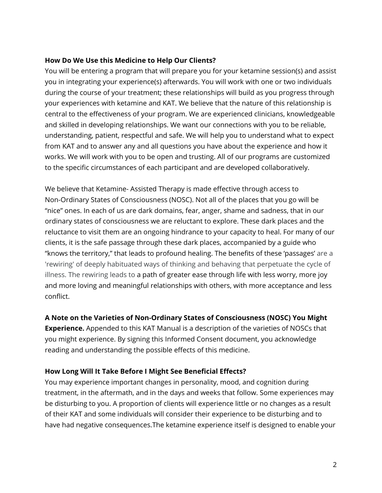### **How Do We Use this Medicine to Help Our Clients?**

You will be entering a program that will prepare you for your ketamine session(s) and assist you in integrating your experience(s) afterwards. You will work with one or two individuals during the course of your treatment; these relationships will build as you progress through your experiences with ketamine and KAT. We believe that the nature of this relationship is central to the effectiveness of your program. We are experienced clinicians, knowledgeable and skilled in developing relationships. We want our connections with you to be reliable, understanding, patient, respectful and safe. We will help you to understand what to expect from KAT and to answer any and all questions you have about the experience and how it works. We will work with you to be open and trusting. All of our programs are customized to the specific circumstances of each participant and are developed collaboratively.

We believe that Ketamine- Assisted Therapy is made effective through access to Non-Ordinary States of Consciousness (NOSC). Not all of the places that you go will be "nice" ones. In each of us are dark domains, fear, anger, shame and sadness, that in our ordinary states of consciousness we are reluctant to explore. These dark places and the reluctance to visit them are an ongoing hindrance to your capacity to heal. For many of our clients, it is the safe passage through these dark places, accompanied by a guide who "knows the territory," that leads to profound healing. The benefits of these 'passages' are a 'rewiring' of deeply habituated ways of thinking and behaving that perpetuate the cycle of illness. The rewiring leads to a path of greater ease through life with less worry, more joy and more loving and meaningful relationships with others, with more acceptance and less conflict.

**A Note on the Varieties of Non-Ordinary States of Consciousness (NOSC) You Might Experience.** Appended to this KAT Manual is a description of the varieties of NOSCs that you might experience. By signing this Informed Consent document, you acknowledge reading and understanding the possible effects of this medicine.

### **How Long Will It Take Before I Might See Beneficial Effects?**

You may experience important changes in personality, mood, and cognition during treatment, in the aftermath, and in the days and weeks that follow. Some experiences may be disturbing to you. A proportion of clients will experience little or no changes as a result of their KAT and some individuals will consider their experience to be disturbing and to have had negative consequences.The ketamine experience itself is designed to enable your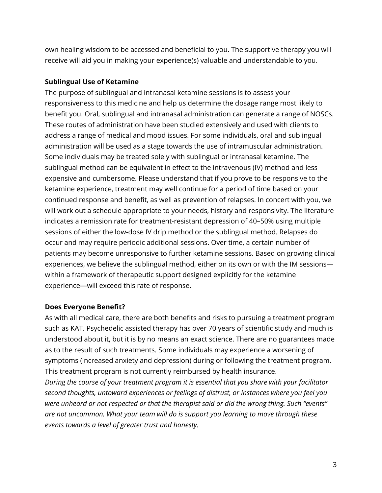own healing wisdom to be accessed and beneficial to you. The supportive therapy you will receive will aid you in making your experience(s) valuable and understandable to you.

### **Sublingual Use of Ketamine**

The purpose of sublingual and intranasal ketamine sessions is to assess your responsiveness to this medicine and help us determine the dosage range most likely to benefit you. Oral, sublingual and intranasal administration can generate a range of NOSCs. These routes of administration have been studied extensively and used with clients to address a range of medical and mood issues. For some individuals, oral and sublingual administration will be used as a stage towards the use of intramuscular administration. Some individuals may be treated solely with sublingual or intranasal ketamine. The sublingual method can be equivalent in effect to the intravenous (IV) method and less expensive and cumbersome. Please understand that if you prove to be responsive to the ketamine experience, treatment may well continue for a period of time based on your continued response and benefit, as well as prevention of relapses. In concert with you, we will work out a schedule appropriate to your needs, history and responsivity. The literature indicates a remission rate for treatment-resistant depression of 40–50% using multiple sessions of either the low-dose IV drip method or the sublingual method. Relapses do occur and may require periodic additional sessions. Over time, a certain number of patients may become unresponsive to further ketamine sessions. Based on growing clinical experiences, we believe the sublingual method, either on its own or with the IM sessions within a framework of therapeutic support designed explicitly for the ketamine experience—will exceed this rate of response.

### **Does Everyone Benefit?**

As with all medical care, there are both benefits and risks to pursuing a treatment program such as KAT. Psychedelic assisted therapy has over 70 years of scientific study and much is understood about it, but it is by no means an exact science. There are no guarantees made as to the result of such treatments. Some individuals may experience a worsening of symptoms (increased anxiety and depression) during or following the treatment program. This treatment program is not currently reimbursed by health insurance.

*During the course of your treatment program it is essential that you share with your facilitator second thoughts, untoward experiences or feelings of distrust, or instances where you feel you were unheard or not respected or that the therapist said or did the wrong thing. Such "events" are not uncommon. What your team will do is support you learning to move through these events towards a level of greater trust and honesty.*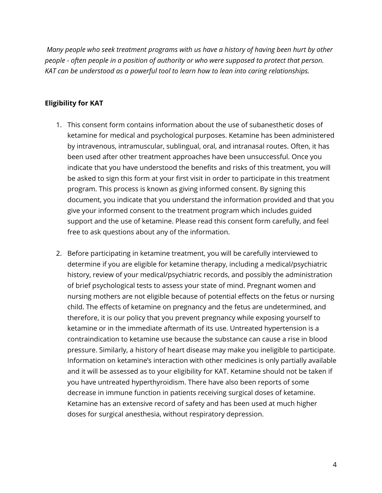*Many people who seek treatment programs with us have a history of having been hurt by other people - often people in a position of authority or who were supposed to protect that person. KAT can be understood as a powerful tool to learn how to lean into caring relationships.*

### **Eligibility for KAT**

- 1. This consent form contains information about the use of subanesthetic doses of ketamine for medical and psychological purposes. Ketamine has been administered by intravenous, intramuscular, sublingual, oral, and intranasal routes. Often, it has been used after other treatment approaches have been unsuccessful. Once you indicate that you have understood the benefits and risks of this treatment, you will be asked to sign this form at your first visit in order to participate in this treatment program. This process is known as giving informed consent. By signing this document, you indicate that you understand the information provided and that you give your informed consent to the treatment program which includes guided support and the use of ketamine. Please read this consent form carefully, and feel free to ask questions about any of the information.
- 2. Before participating in ketamine treatment, you will be carefully interviewed to determine if you are eligible for ketamine therapy, including a medical/psychiatric history, review of your medical/psychiatric records, and possibly the administration of brief psychological tests to assess your state of mind. Pregnant women and nursing mothers are not eligible because of potential effects on the fetus or nursing child. The effects of ketamine on pregnancy and the fetus are undetermined, and therefore, it is our policy that you prevent pregnancy while exposing yourself to ketamine or in the immediate aftermath of its use. Untreated hypertension is a contraindication to ketamine use because the substance can cause a rise in blood pressure. Similarly, a history of heart disease may make you ineligible to participate. Information on ketamine's interaction with other medicines is only partially available and it will be assessed as to your eligibility for KAT. Ketamine should not be taken if you have untreated hyperthyroidism. There have also been reports of some decrease in immune function in patients receiving surgical doses of ketamine. Ketamine has an extensive record of safety and has been used at much higher doses for surgical anesthesia, without respiratory depression.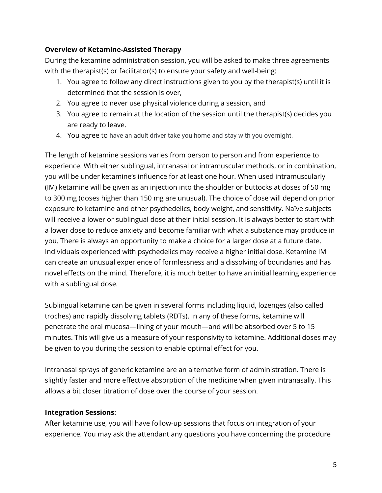## **Overview of Ketamine-Assisted Therapy**

During the ketamine administration session, you will be asked to make three agreements with the therapist(s) or facilitator(s) to ensure your safety and well-being:

- 1. You agree to follow any direct instructions given to you by the therapist(s) until it is determined that the session is over,
- 2. You agree to never use physical violence during a session, and
- 3. You agree to remain at the location of the session until the therapist(s) decides you are ready to leave.
- 4. You agree to have an adult driver take you home and stay with you overnight.

The length of ketamine sessions varies from person to person and from experience to experience. With either sublingual, intranasal or intramuscular methods, or in combination, you will be under ketamine's influence for at least one hour. When used intramuscularly (IM) ketamine will be given as an injection into the shoulder or buttocks at doses of 50 mg to 300 mg (doses higher than 150 mg are unusual). The choice of dose will depend on prior exposure to ketamine and other psychedelics, body weight, and sensitivity. Naïve subjects will receive a lower or sublingual dose at their initial session. It is always better to start with a lower dose to reduce anxiety and become familiar with what a substance may produce in you. There is always an opportunity to make a choice for a larger dose at a future date. Individuals experienced with psychedelics may receive a higher initial dose. Ketamine IM can create an unusual experience of formlessness and a dissolving of boundaries and has novel effects on the mind. Therefore, it is much better to have an initial learning experience with a sublingual dose.

Sublingual ketamine can be given in several forms including liquid, lozenges (also called troches) and rapidly dissolving tablets (RDTs). In any of these forms, ketamine will penetrate the oral mucosa—lining of your mouth—and will be absorbed over 5 to 15 minutes. This will give us a measure of your responsivity to ketamine. Additional doses may be given to you during the session to enable optimal effect for you.

Intranasal sprays of generic ketamine are an alternative form of administration. There is slightly faster and more effective absorption of the medicine when given intranasally. This allows a bit closer titration of dose over the course of your session.

## **Integration Sessions**:

After ketamine use, you will have follow-up sessions that focus on integration of your experience. You may ask the attendant any questions you have concerning the procedure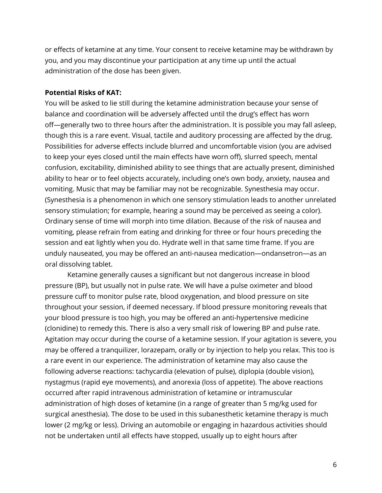or effects of ketamine at any time. Your consent to receive ketamine may be withdrawn by you, and you may discontinue your participation at any time up until the actual administration of the dose has been given.

#### **Potential Risks of KAT:**

You will be asked to lie still during the ketamine administration because your sense of balance and coordination will be adversely affected until the drug's effect has worn off—generally two to three hours after the administration. It is possible you may fall asleep, though this is a rare event. Visual, tactile and auditory processing are affected by the drug. Possibilities for adverse effects include blurred and uncomfortable vision (you are advised to keep your eyes closed until the main effects have worn off), slurred speech, mental confusion, excitability, diminished ability to see things that are actually present, diminished ability to hear or to feel objects accurately, including one's own body, anxiety, nausea and vomiting. Music that may be familiar may not be recognizable. Synesthesia may occur. (Synesthesia is a phenomenon in which one sensory stimulation leads to another unrelated sensory stimulation; for example, hearing a sound may be perceived as seeing a color). Ordinary sense of time will morph into time dilation. Because of the risk of nausea and vomiting, please refrain from eating and drinking for three or four hours preceding the session and eat lightly when you do. Hydrate well in that same time frame. If you are unduly nauseated, you may be offered an anti-nausea medication—ondansetron—as an oral dissolving tablet.

Ketamine generally causes a significant but not dangerous increase in blood pressure (BP), but usually not in pulse rate. We will have a pulse oximeter and blood pressure cuff to monitor pulse rate, blood oxygenation, and blood pressure on site throughout your session, if deemed necessary. If blood pressure monitoring reveals that your blood pressure is too high, you may be offered an anti-hypertensive medicine (clonidine) to remedy this. There is also a very small risk of lowering BP and pulse rate. Agitation may occur during the course of a ketamine session. If your agitation is severe, you may be offered a tranquilizer, lorazepam, orally or by injection to help you relax. This too is a rare event in our experience. The administration of ketamine may also cause the following adverse reactions: tachycardia (elevation of pulse), diplopia (double vision), nystagmus (rapid eye movements), and anorexia (loss of appetite). The above reactions occurred after rapid intravenous administration of ketamine or intramuscular administration of high doses of ketamine (in a range of greater than 5 mg/kg used for surgical anesthesia). The dose to be used in this subanesthetic ketamine therapy is much lower (2 mg/kg or less). Driving an automobile or engaging in hazardous activities should not be undertaken until all effects have stopped, usually up to eight hours after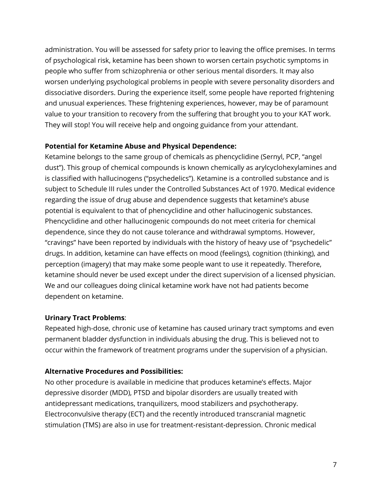administration. You will be assessed for safety prior to leaving the office premises. In terms of psychological risk, ketamine has been shown to worsen certain psychotic symptoms in people who suffer from schizophrenia or other serious mental disorders. It may also worsen underlying psychological problems in people with severe personality disorders and dissociative disorders. During the experience itself, some people have reported frightening and unusual experiences. These frightening experiences, however, may be of paramount value to your transition to recovery from the suffering that brought you to your KAT work. They will stop! You will receive help and ongoing guidance from your attendant.

## **Potential for Ketamine Abuse and Physical Dependence:**

Ketamine belongs to the same group of chemicals as phencyclidine (Sernyl, PCP, "angel dust"). This group of chemical compounds is known chemically as arylcyclohexylamines and is classified with hallucinogens ("psychedelics"). Ketamine is a controlled substance and is subject to Schedule III rules under the Controlled Substances Act of 1970. Medical evidence regarding the issue of drug abuse and dependence suggests that ketamine's abuse potential is equivalent to that of phencyclidine and other hallucinogenic substances. Phencyclidine and other hallucinogenic compounds do not meet criteria for chemical dependence, since they do not cause tolerance and withdrawal symptoms. However, "cravings" have been reported by individuals with the history of heavy use of "psychedelic" drugs. In addition, ketamine can have effects on mood (feelings), cognition (thinking), and perception (imagery) that may make some people want to use it repeatedly. Therefore, ketamine should never be used except under the direct supervision of a licensed physician. We and our colleagues doing clinical ketamine work have not had patients become dependent on ketamine.

## **Urinary Tract Problems**:

Repeated high-dose, chronic use of ketamine has caused urinary tract symptoms and even permanent bladder dysfunction in individuals abusing the drug. This is believed not to occur within the framework of treatment programs under the supervision of a physician.

### **Alternative Procedures and Possibilities:**

No other procedure is available in medicine that produces ketamine's effects. Major depressive disorder (MDD), PTSD and bipolar disorders are usually treated with antidepressant medications, tranquilizers, mood stabilizers and psychotherapy. Electroconvulsive therapy (ECT) and the recently introduced transcranial magnetic stimulation (TMS) are also in use for treatment-resistant-depression. Chronic medical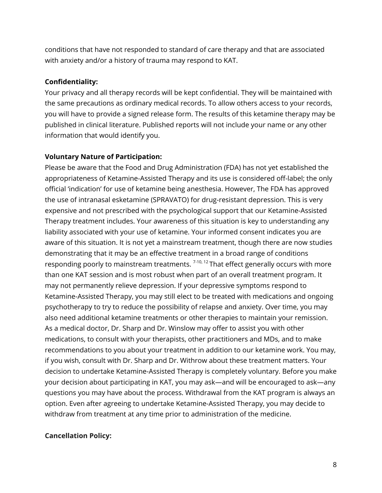conditions that have not responded to standard of care therapy and that are associated with anxiety and/or a history of trauma may respond to KAT.

## **Confidentiality:**

Your privacy and all therapy records will be kept confidential. They will be maintained with the same precautions as ordinary medical records. To allow others access to your records, you will have to provide a signed release form. The results of this ketamine therapy may be published in clinical literature. Published reports will not include your name or any other information that would identify you.

## **Voluntary Nature of Participation:**

Please be aware that the Food and Drug Administration (FDA) has not yet established the appropriateness of Ketamine-Assisted Therapy and its use is considered off-label; the only official 'indication' for use of ketamine being anesthesia. However, The FDA has approved the use of intranasal esketamine (SPRAVATO) for drug-resistant depression. This is very expensive and not prescribed with the psychological support that our Ketamine-Assisted Therapy treatment includes. Your awareness of this situation is key to understanding any liability associated with your use of ketamine. Your informed consent indicates you are aware of this situation. It is not yet a mainstream treatment, though there are now studies demonstrating that it may be an effective treatment in a broad range of conditions responding poorly to mainstream treatments. <sup>7-10, 12</sup> That effect generally occurs with more than one KAT session and is most robust when part of an overall treatment program. It may not permanently relieve depression. If your depressive symptoms respond to Ketamine-Assisted Therapy, you may still elect to be treated with medications and ongoing psychotherapy to try to reduce the possibility of relapse and anxiety. Over time, you may also need additional ketamine treatments or other therapies to maintain your remission. As a medical doctor, Dr. Sharp and Dr. Winslow may offer to assist you with other medications, to consult with your therapists, other practitioners and MDs, and to make recommendations to you about your treatment in addition to our ketamine work. You may, if you wish, consult with Dr. Sharp and Dr. Withrow about these treatment matters. Your decision to undertake Ketamine-Assisted Therapy is completely voluntary. Before you make your decision about participating in KAT, you may ask—and will be encouraged to ask—any questions you may have about the process. Withdrawal from the KAT program is always an option. Even after agreeing to undertake Ketamine-Assisted Therapy, you may decide to withdraw from treatment at any time prior to administration of the medicine.

## **Cancellation Policy:**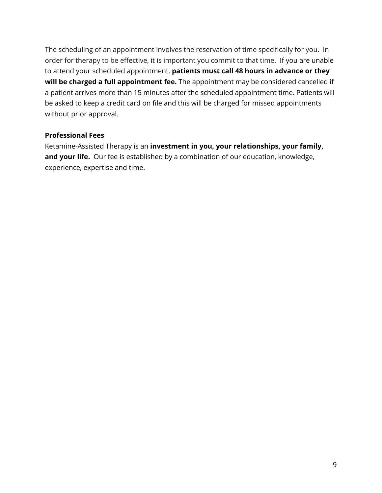The scheduling of an appointment involves the reservation of time specifically for you. In order for therapy to be effective, it is important you commit to that time. If you are unable to attend your scheduled appointment, **patients must call 48 hours in advance or they will be charged a full appointment fee.** The appointment may be considered cancelled if a patient arrives more than 15 minutes after the scheduled appointment time. Patients will be asked to keep a credit card on file and this will be charged for missed appointments without prior approval.

### **Professional Fees**

Ketamine-Assisted Therapy is an **investment in you, your relationships, your family, and your life.** Our fee is established by a combination of our education, knowledge, experience, expertise and time.